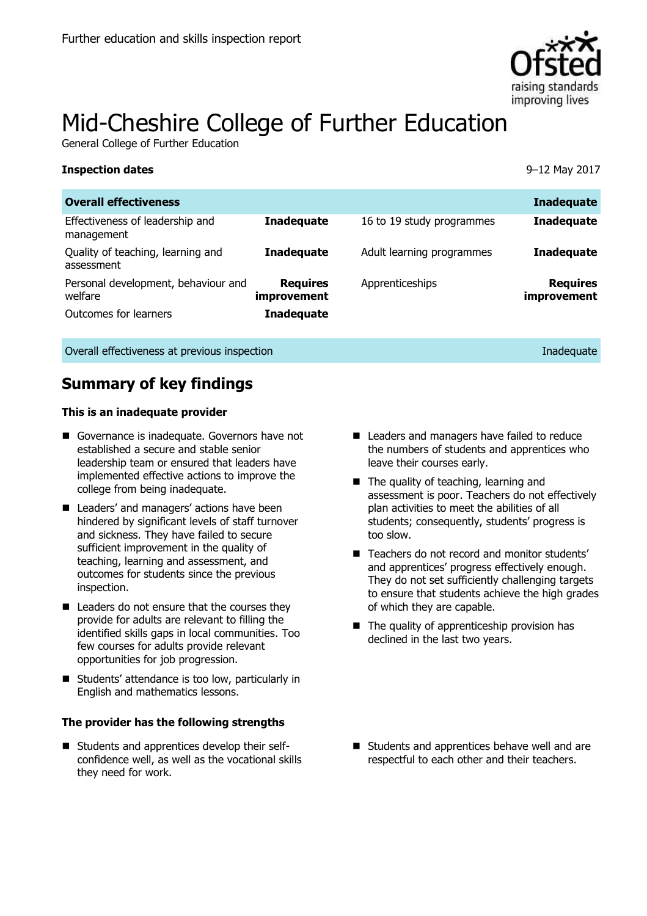

# Mid-Cheshire College of Further Education

General College of Further Education

| <b>Overall effectiveness</b>                    |                                |                           | <b>Inadequate</b>              |
|-------------------------------------------------|--------------------------------|---------------------------|--------------------------------|
| Effectiveness of leadership and<br>management   | <b>Inadequate</b>              | 16 to 19 study programmes | <b>Inadequate</b>              |
| Quality of teaching, learning and<br>assessment | <b>Inadequate</b>              | Adult learning programmes | <b>Inadequate</b>              |
| Personal development, behaviour and<br>welfare  | <b>Requires</b><br>improvement | Apprenticeships           | <b>Requires</b><br>improvement |
| Outcomes for learners                           | <b>Inadequate</b>              |                           |                                |

**Inspection dates** 9–12 May 2017

Overall effectiveness at previous inspection Inadequate Inadequate Inadequate

## **Summary of key findings**

### **This is an inadequate provider**

- Governance is inadequate. Governors have not established a secure and stable senior leadership team or ensured that leaders have implemented effective actions to improve the college from being inadequate.
- Leaders' and managers' actions have been hindered by significant levels of staff turnover and sickness. They have failed to secure sufficient improvement in the quality of teaching, learning and assessment, and outcomes for students since the previous inspection.
- Leaders do not ensure that the courses they provide for adults are relevant to filling the identified skills gaps in local communities. Too few courses for adults provide relevant opportunities for job progression.
- Students' attendance is too low, particularly in English and mathematics lessons.

### **The provider has the following strengths**

■ Students and apprentices develop their selfconfidence well, as well as the vocational skills they need for work.

- Leaders and managers have failed to reduce the numbers of students and apprentices who leave their courses early.
- The quality of teaching, learning and assessment is poor. Teachers do not effectively plan activities to meet the abilities of all students; consequently, students' progress is too slow.
- Teachers do not record and monitor students' and apprentices' progress effectively enough. They do not set sufficiently challenging targets to ensure that students achieve the high grades of which they are capable.
- The quality of apprenticeship provision has declined in the last two years.

Students and apprentices behave well and are respectful to each other and their teachers.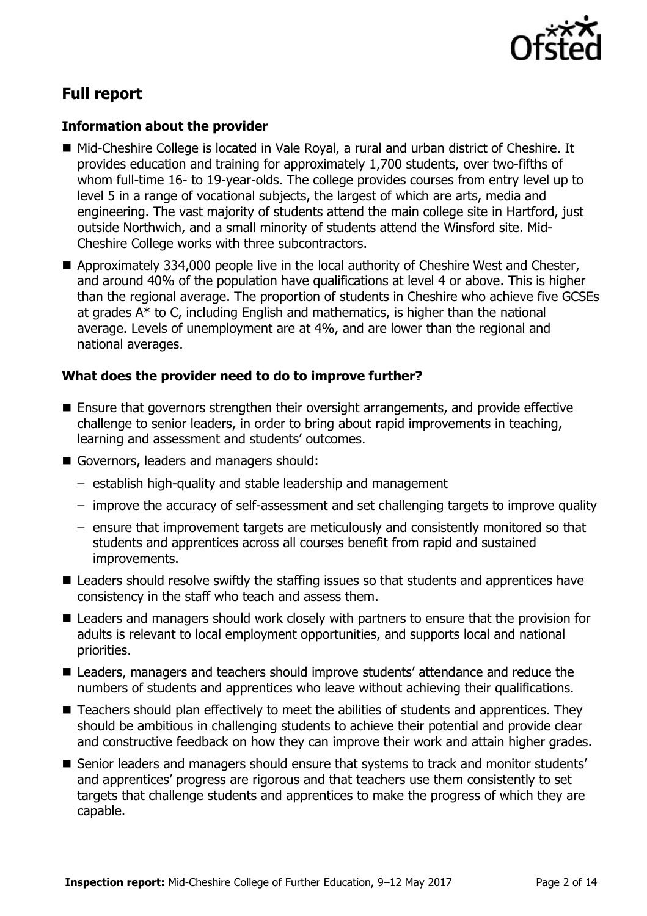

# **Full report**

### **Information about the provider**

- Mid-Cheshire College is located in Vale Royal, a rural and urban district of Cheshire. It provides education and training for approximately 1,700 students, over two-fifths of whom full-time 16- to 19-year-olds. The college provides courses from entry level up to level 5 in a range of vocational subjects, the largest of which are arts, media and engineering. The vast majority of students attend the main college site in Hartford, just outside Northwich, and a small minority of students attend the Winsford site. Mid-Cheshire College works with three subcontractors.
- Approximately 334,000 people live in the local authority of Cheshire West and Chester, and around 40% of the population have qualifications at level 4 or above. This is higher than the regional average. The proportion of students in Cheshire who achieve five GCSEs at grades A\* to C, including English and mathematics, is higher than the national average. Levels of unemployment are at 4%, and are lower than the regional and national averages.

### **What does the provider need to do to improve further?**

- Ensure that governors strengthen their oversight arrangements, and provide effective challenge to senior leaders, in order to bring about rapid improvements in teaching, learning and assessment and students' outcomes.
- Governors, leaders and managers should:
	- establish high-quality and stable leadership and management
	- improve the accuracy of self-assessment and set challenging targets to improve quality
	- ensure that improvement targets are meticulously and consistently monitored so that students and apprentices across all courses benefit from rapid and sustained improvements.
- Leaders should resolve swiftly the staffing issues so that students and apprentices have consistency in the staff who teach and assess them.
- Leaders and managers should work closely with partners to ensure that the provision for adults is relevant to local employment opportunities, and supports local and national priorities.
- Leaders, managers and teachers should improve students' attendance and reduce the numbers of students and apprentices who leave without achieving their qualifications.
- Teachers should plan effectively to meet the abilities of students and apprentices. They should be ambitious in challenging students to achieve their potential and provide clear and constructive feedback on how they can improve their work and attain higher grades.
- Senior leaders and managers should ensure that systems to track and monitor students' and apprentices' progress are rigorous and that teachers use them consistently to set targets that challenge students and apprentices to make the progress of which they are capable.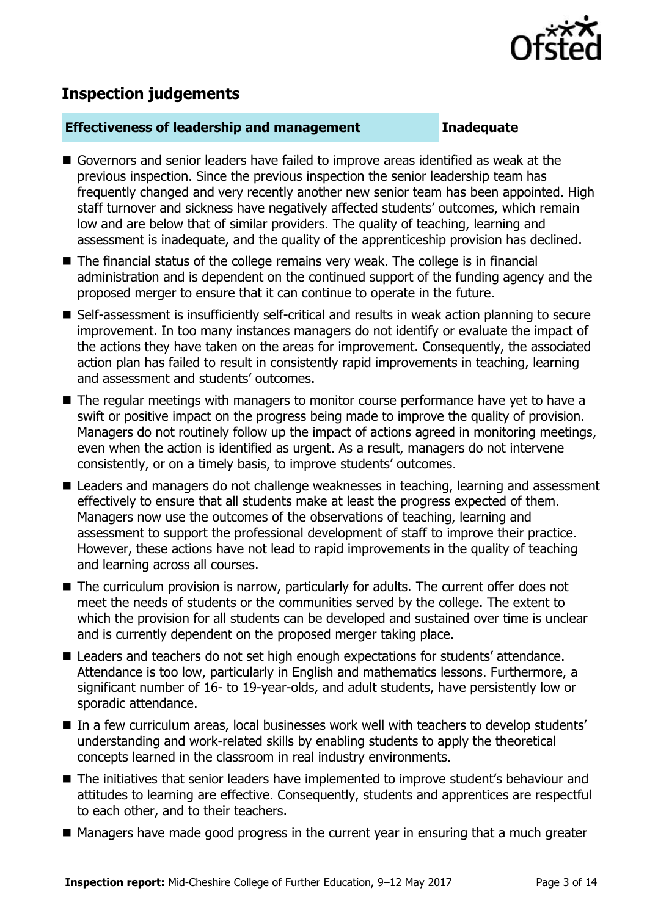

# **Inspection judgements**

### **Effectiveness of leadership and management Inadequate**

- Governors and senior leaders have failed to improve areas identified as weak at the previous inspection. Since the previous inspection the senior leadership team has frequently changed and very recently another new senior team has been appointed. High staff turnover and sickness have negatively affected students' outcomes, which remain low and are below that of similar providers. The quality of teaching, learning and assessment is inadequate, and the quality of the apprenticeship provision has declined.
- The financial status of the college remains very weak. The college is in financial administration and is dependent on the continued support of the funding agency and the proposed merger to ensure that it can continue to operate in the future.
- Self-assessment is insufficiently self-critical and results in weak action planning to secure improvement. In too many instances managers do not identify or evaluate the impact of the actions they have taken on the areas for improvement. Consequently, the associated action plan has failed to result in consistently rapid improvements in teaching, learning and assessment and students' outcomes.
- The regular meetings with managers to monitor course performance have yet to have a swift or positive impact on the progress being made to improve the quality of provision. Managers do not routinely follow up the impact of actions agreed in monitoring meetings, even when the action is identified as urgent. As a result, managers do not intervene consistently, or on a timely basis, to improve students' outcomes.
- Leaders and managers do not challenge weaknesses in teaching, learning and assessment effectively to ensure that all students make at least the progress expected of them. Managers now use the outcomes of the observations of teaching, learning and assessment to support the professional development of staff to improve their practice. However, these actions have not lead to rapid improvements in the quality of teaching and learning across all courses.
- The curriculum provision is narrow, particularly for adults. The current offer does not meet the needs of students or the communities served by the college. The extent to which the provision for all students can be developed and sustained over time is unclear and is currently dependent on the proposed merger taking place.
- Leaders and teachers do not set high enough expectations for students' attendance. Attendance is too low, particularly in English and mathematics lessons. Furthermore, a significant number of 16- to 19-year-olds, and adult students, have persistently low or sporadic attendance.
- In a few curriculum areas, local businesses work well with teachers to develop students' understanding and work-related skills by enabling students to apply the theoretical concepts learned in the classroom in real industry environments.
- The initiatives that senior leaders have implemented to improve student's behaviour and attitudes to learning are effective. Consequently, students and apprentices are respectful to each other, and to their teachers.
- Managers have made good progress in the current year in ensuring that a much greater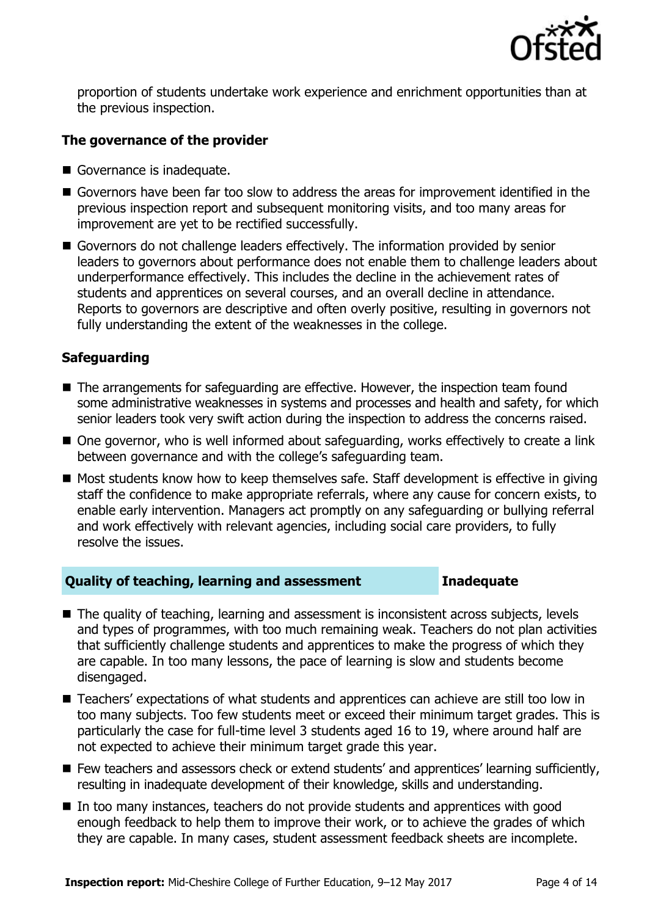

proportion of students undertake work experience and enrichment opportunities than at the previous inspection.

### **The governance of the provider**

- Governance is inadequate.
- Governors have been far too slow to address the areas for improvement identified in the previous inspection report and subsequent monitoring visits, and too many areas for improvement are yet to be rectified successfully.
- Governors do not challenge leaders effectively. The information provided by senior leaders to governors about performance does not enable them to challenge leaders about underperformance effectively. This includes the decline in the achievement rates of students and apprentices on several courses, and an overall decline in attendance. Reports to governors are descriptive and often overly positive, resulting in governors not fully understanding the extent of the weaknesses in the college.

### **Safeguarding**

- The arrangements for safeguarding are effective. However, the inspection team found some administrative weaknesses in systems and processes and health and safety, for which senior leaders took very swift action during the inspection to address the concerns raised.
- One governor, who is well informed about safeguarding, works effectively to create a link between governance and with the college's safeguarding team.
- Most students know how to keep themselves safe. Staff development is effective in giving staff the confidence to make appropriate referrals, where any cause for concern exists, to enable early intervention. Managers act promptly on any safeguarding or bullying referral and work effectively with relevant agencies, including social care providers, to fully resolve the issues.

### **Quality of teaching, learning and assessment Inadequate**

- The quality of teaching, learning and assessment is inconsistent across subjects, levels and types of programmes, with too much remaining weak. Teachers do not plan activities that sufficiently challenge students and apprentices to make the progress of which they are capable. In too many lessons, the pace of learning is slow and students become disengaged.
- Teachers' expectations of what students and apprentices can achieve are still too low in too many subjects. Too few students meet or exceed their minimum target grades. This is particularly the case for full-time level 3 students aged 16 to 19, where around half are not expected to achieve their minimum target grade this year.
- Few teachers and assessors check or extend students' and apprentices' learning sufficiently, resulting in inadequate development of their knowledge, skills and understanding.
- In too many instances, teachers do not provide students and apprentices with good enough feedback to help them to improve their work, or to achieve the grades of which they are capable. In many cases, student assessment feedback sheets are incomplete.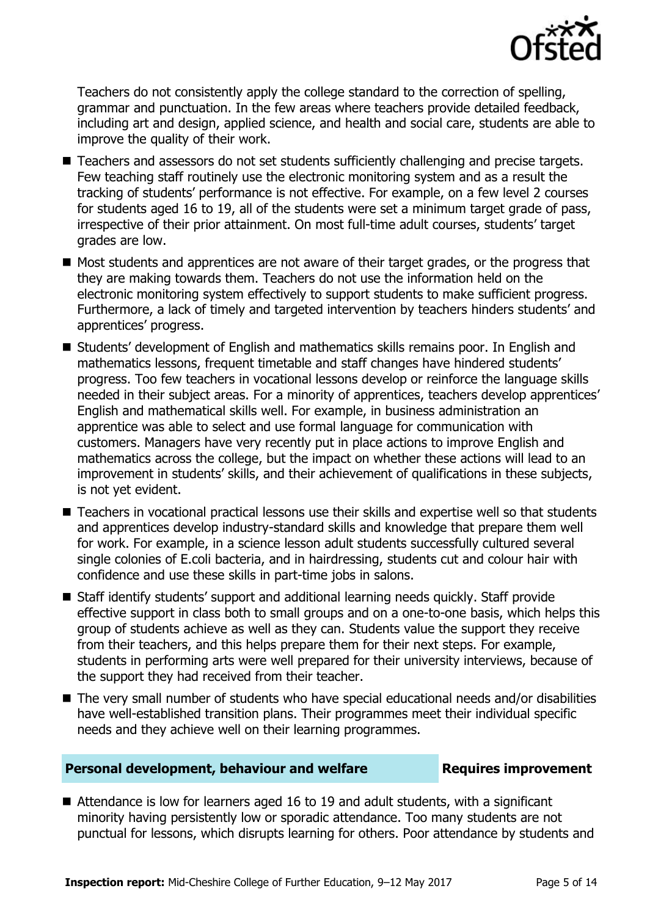

Teachers do not consistently apply the college standard to the correction of spelling, grammar and punctuation. In the few areas where teachers provide detailed feedback, including art and design, applied science, and health and social care, students are able to improve the quality of their work.

- Teachers and assessors do not set students sufficiently challenging and precise targets. Few teaching staff routinely use the electronic monitoring system and as a result the tracking of students' performance is not effective. For example, on a few level 2 courses for students aged 16 to 19, all of the students were set a minimum target grade of pass, irrespective of their prior attainment. On most full-time adult courses, students' target grades are low.
- $\blacksquare$  Most students and apprentices are not aware of their target grades, or the progress that they are making towards them. Teachers do not use the information held on the electronic monitoring system effectively to support students to make sufficient progress. Furthermore, a lack of timely and targeted intervention by teachers hinders students' and apprentices' progress.
- Students' development of English and mathematics skills remains poor. In English and mathematics lessons, frequent timetable and staff changes have hindered students' progress. Too few teachers in vocational lessons develop or reinforce the language skills needed in their subject areas. For a minority of apprentices, teachers develop apprentices' English and mathematical skills well. For example, in business administration an apprentice was able to select and use formal language for communication with customers. Managers have very recently put in place actions to improve English and mathematics across the college, but the impact on whether these actions will lead to an improvement in students' skills, and their achievement of qualifications in these subjects, is not yet evident.
- Teachers in vocational practical lessons use their skills and expertise well so that students and apprentices develop industry-standard skills and knowledge that prepare them well for work. For example, in a science lesson adult students successfully cultured several single colonies of E.coli bacteria, and in hairdressing, students cut and colour hair with confidence and use these skills in part-time jobs in salons.
- Staff identify students' support and additional learning needs quickly. Staff provide effective support in class both to small groups and on a one-to-one basis, which helps this group of students achieve as well as they can. Students value the support they receive from their teachers, and this helps prepare them for their next steps. For example, students in performing arts were well prepared for their university interviews, because of the support they had received from their teacher.
- The very small number of students who have special educational needs and/or disabilities have well-established transition plans. Their programmes meet their individual specific needs and they achieve well on their learning programmes.

### **Personal development, behaviour and welfare <b>Requires improvement**

■ Attendance is low for learners aged 16 to 19 and adult students, with a significant minority having persistently low or sporadic attendance. Too many students are not punctual for lessons, which disrupts learning for others. Poor attendance by students and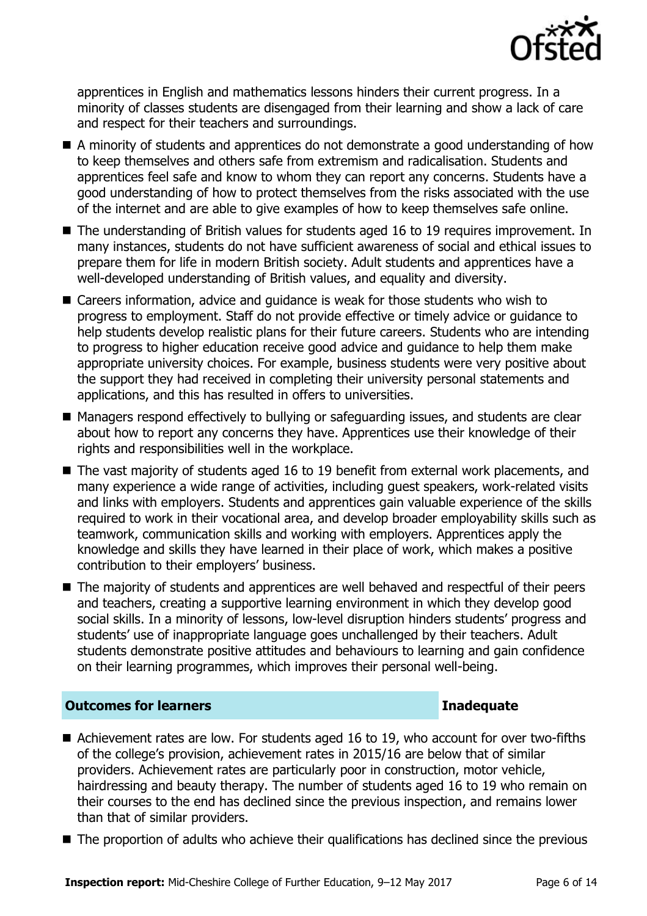

apprentices in English and mathematics lessons hinders their current progress. In a minority of classes students are disengaged from their learning and show a lack of care and respect for their teachers and surroundings.

- A minority of students and apprentices do not demonstrate a good understanding of how to keep themselves and others safe from extremism and radicalisation. Students and apprentices feel safe and know to whom they can report any concerns. Students have a good understanding of how to protect themselves from the risks associated with the use of the internet and are able to give examples of how to keep themselves safe online.
- The understanding of British values for students aged 16 to 19 requires improvement. In many instances, students do not have sufficient awareness of social and ethical issues to prepare them for life in modern British society. Adult students and apprentices have a well-developed understanding of British values, and equality and diversity.
- Careers information, advice and quidance is weak for those students who wish to progress to employment. Staff do not provide effective or timely advice or guidance to help students develop realistic plans for their future careers. Students who are intending to progress to higher education receive good advice and guidance to help them make appropriate university choices. For example, business students were very positive about the support they had received in completing their university personal statements and applications, and this has resulted in offers to universities.
- Managers respond effectively to bullying or safeguarding issues, and students are clear about how to report any concerns they have. Apprentices use their knowledge of their rights and responsibilities well in the workplace.
- The vast majority of students aged 16 to 19 benefit from external work placements, and many experience a wide range of activities, including guest speakers, work-related visits and links with employers. Students and apprentices gain valuable experience of the skills required to work in their vocational area, and develop broader employability skills such as teamwork, communication skills and working with employers. Apprentices apply the knowledge and skills they have learned in their place of work, which makes a positive contribution to their employers' business.
- The majority of students and apprentices are well behaved and respectful of their peers and teachers, creating a supportive learning environment in which they develop good social skills. In a minority of lessons, low-level disruption hinders students' progress and students' use of inappropriate language goes unchallenged by their teachers. Adult students demonstrate positive attitudes and behaviours to learning and gain confidence on their learning programmes, which improves their personal well-being.

### **Outcomes for learners Inadequate**

- Achievement rates are low. For students aged 16 to 19, who account for over two-fifths of the college's provision, achievement rates in 2015/16 are below that of similar providers. Achievement rates are particularly poor in construction, motor vehicle, hairdressing and beauty therapy. The number of students aged 16 to 19 who remain on their courses to the end has declined since the previous inspection, and remains lower than that of similar providers.
- The proportion of adults who achieve their qualifications has declined since the previous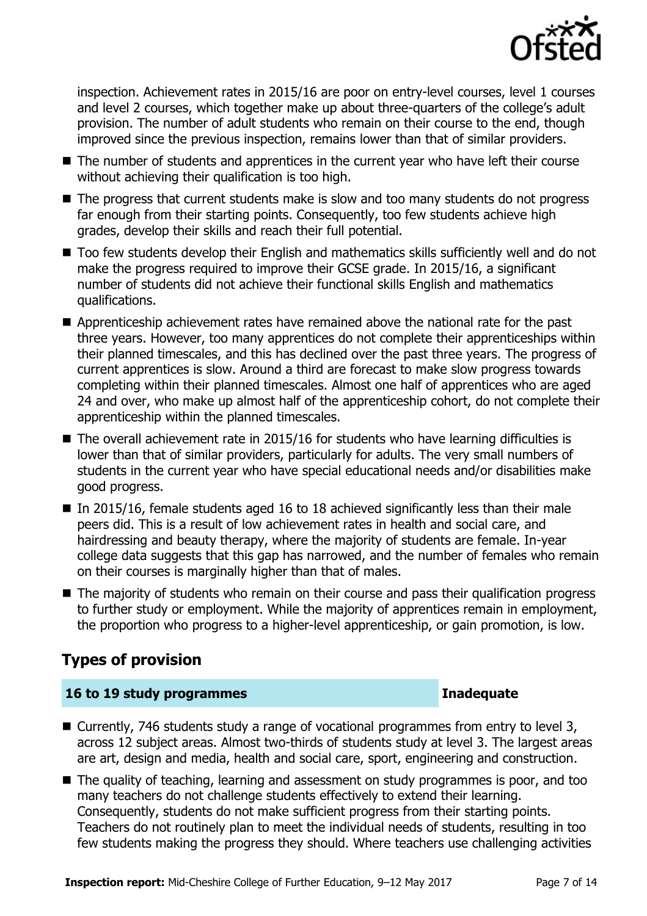

inspection. Achievement rates in 2015/16 are poor on entry-level courses, level 1 courses and level 2 courses, which together make up about three-quarters of the college's adult provision. The number of adult students who remain on their course to the end, though improved since the previous inspection, remains lower than that of similar providers.

- The number of students and apprentices in the current year who have left their course without achieving their qualification is too high.
- The progress that current students make is slow and too many students do not progress far enough from their starting points. Consequently, too few students achieve high grades, develop their skills and reach their full potential.
- Too few students develop their English and mathematics skills sufficiently well and do not make the progress required to improve their GCSE grade. In 2015/16, a significant number of students did not achieve their functional skills English and mathematics qualifications.
- Apprenticeship achievement rates have remained above the national rate for the past three years. However, too many apprentices do not complete their apprenticeships within their planned timescales, and this has declined over the past three years. The progress of current apprentices is slow. Around a third are forecast to make slow progress towards completing within their planned timescales. Almost one half of apprentices who are aged 24 and over, who make up almost half of the apprenticeship cohort, do not complete their apprenticeship within the planned timescales.
- $\blacksquare$  The overall achievement rate in 2015/16 for students who have learning difficulties is lower than that of similar providers, particularly for adults. The very small numbers of students in the current year who have special educational needs and/or disabilities make good progress.
- In 2015/16, female students aged 16 to 18 achieved significantly less than their male peers did. This is a result of low achievement rates in health and social care, and hairdressing and beauty therapy, where the majority of students are female. In-year college data suggests that this gap has narrowed, and the number of females who remain on their courses is marginally higher than that of males.
- The majority of students who remain on their course and pass their qualification progress to further study or employment. While the majority of apprentices remain in employment, the proportion who progress to a higher-level apprenticeship, or gain promotion, is low.

# **Types of provision**

### **16 to 19 study programmes Inadequate**

- Currently, 746 students study a range of vocational programmes from entry to level 3, across 12 subject areas. Almost two-thirds of students study at level 3. The largest areas are art, design and media, health and social care, sport, engineering and construction.
- The quality of teaching, learning and assessment on study programmes is poor, and too many teachers do not challenge students effectively to extend their learning. Consequently, students do not make sufficient progress from their starting points. Teachers do not routinely plan to meet the individual needs of students, resulting in too few students making the progress they should. Where teachers use challenging activities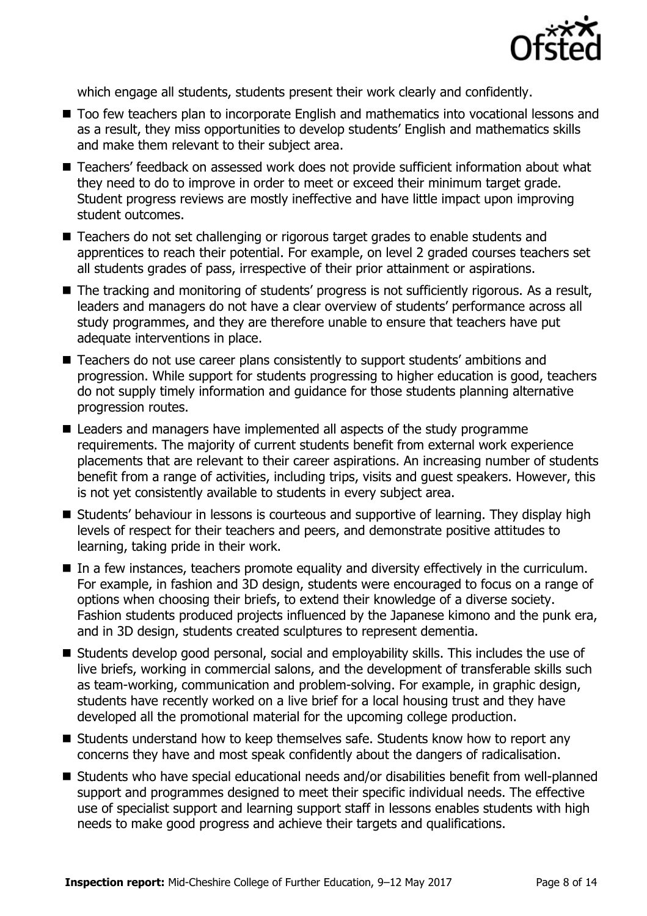

which engage all students, students present their work clearly and confidently.

- Too few teachers plan to incorporate English and mathematics into vocational lessons and as a result, they miss opportunities to develop students' English and mathematics skills and make them relevant to their subject area.
- Teachers' feedback on assessed work does not provide sufficient information about what they need to do to improve in order to meet or exceed their minimum target grade. Student progress reviews are mostly ineffective and have little impact upon improving student outcomes.
- Teachers do not set challenging or rigorous target grades to enable students and apprentices to reach their potential. For example, on level 2 graded courses teachers set all students grades of pass, irrespective of their prior attainment or aspirations.
- The tracking and monitoring of students' progress is not sufficiently rigorous. As a result, leaders and managers do not have a clear overview of students' performance across all study programmes, and they are therefore unable to ensure that teachers have put adequate interventions in place.
- Teachers do not use career plans consistently to support students' ambitions and progression. While support for students progressing to higher education is good, teachers do not supply timely information and guidance for those students planning alternative progression routes.
- Leaders and managers have implemented all aspects of the study programme requirements. The majority of current students benefit from external work experience placements that are relevant to their career aspirations. An increasing number of students benefit from a range of activities, including trips, visits and guest speakers. However, this is not yet consistently available to students in every subject area.
- Students' behaviour in lessons is courteous and supportive of learning. They display high levels of respect for their teachers and peers, and demonstrate positive attitudes to learning, taking pride in their work.
- In a few instances, teachers promote equality and diversity effectively in the curriculum. For example, in fashion and 3D design, students were encouraged to focus on a range of options when choosing their briefs, to extend their knowledge of a diverse society. Fashion students produced projects influenced by the Japanese kimono and the punk era, and in 3D design, students created sculptures to represent dementia.
- Students develop good personal, social and employability skills. This includes the use of live briefs, working in commercial salons, and the development of transferable skills such as team-working, communication and problem-solving. For example, in graphic design, students have recently worked on a live brief for a local housing trust and they have developed all the promotional material for the upcoming college production.
- Students understand how to keep themselves safe. Students know how to report any concerns they have and most speak confidently about the dangers of radicalisation.
- Students who have special educational needs and/or disabilities benefit from well-planned support and programmes designed to meet their specific individual needs. The effective use of specialist support and learning support staff in lessons enables students with high needs to make good progress and achieve their targets and qualifications.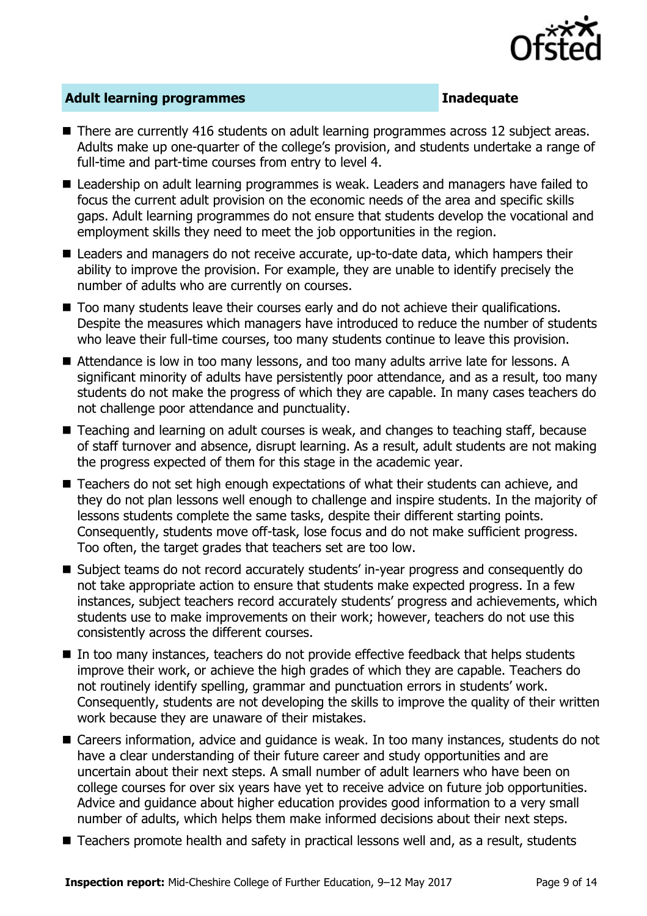

### **Adult learning programmes Inadequate**

- There are currently 416 students on adult learning programmes across 12 subject areas. Adults make up one-quarter of the college's provision, and students undertake a range of full-time and part-time courses from entry to level 4.
- Leadership on adult learning programmes is weak. Leaders and managers have failed to focus the current adult provision on the economic needs of the area and specific skills gaps. Adult learning programmes do not ensure that students develop the vocational and employment skills they need to meet the job opportunities in the region.
- Leaders and managers do not receive accurate, up-to-date data, which hampers their ability to improve the provision. For example, they are unable to identify precisely the number of adults who are currently on courses.
- $\blacksquare$  Too many students leave their courses early and do not achieve their qualifications. Despite the measures which managers have introduced to reduce the number of students who leave their full-time courses, too many students continue to leave this provision.
- Attendance is low in too many lessons, and too many adults arrive late for lessons. A significant minority of adults have persistently poor attendance, and as a result, too many students do not make the progress of which they are capable. In many cases teachers do not challenge poor attendance and punctuality.
- Teaching and learning on adult courses is weak, and changes to teaching staff, because of staff turnover and absence, disrupt learning. As a result, adult students are not making the progress expected of them for this stage in the academic year.
- Teachers do not set high enough expectations of what their students can achieve, and they do not plan lessons well enough to challenge and inspire students. In the majority of lessons students complete the same tasks, despite their different starting points. Consequently, students move off-task, lose focus and do not make sufficient progress. Too often, the target grades that teachers set are too low.
- Subject teams do not record accurately students' in-year progress and consequently do not take appropriate action to ensure that students make expected progress. In a few instances, subject teachers record accurately students' progress and achievements, which students use to make improvements on their work; however, teachers do not use this consistently across the different courses.
- In too many instances, teachers do not provide effective feedback that helps students improve their work, or achieve the high grades of which they are capable. Teachers do not routinely identify spelling, grammar and punctuation errors in students' work. Consequently, students are not developing the skills to improve the quality of their written work because they are unaware of their mistakes.
- Careers information, advice and quidance is weak. In too many instances, students do not have a clear understanding of their future career and study opportunities and are uncertain about their next steps. A small number of adult learners who have been on college courses for over six years have yet to receive advice on future job opportunities. Advice and guidance about higher education provides good information to a very small number of adults, which helps them make informed decisions about their next steps.
- Teachers promote health and safety in practical lessons well and, as a result, students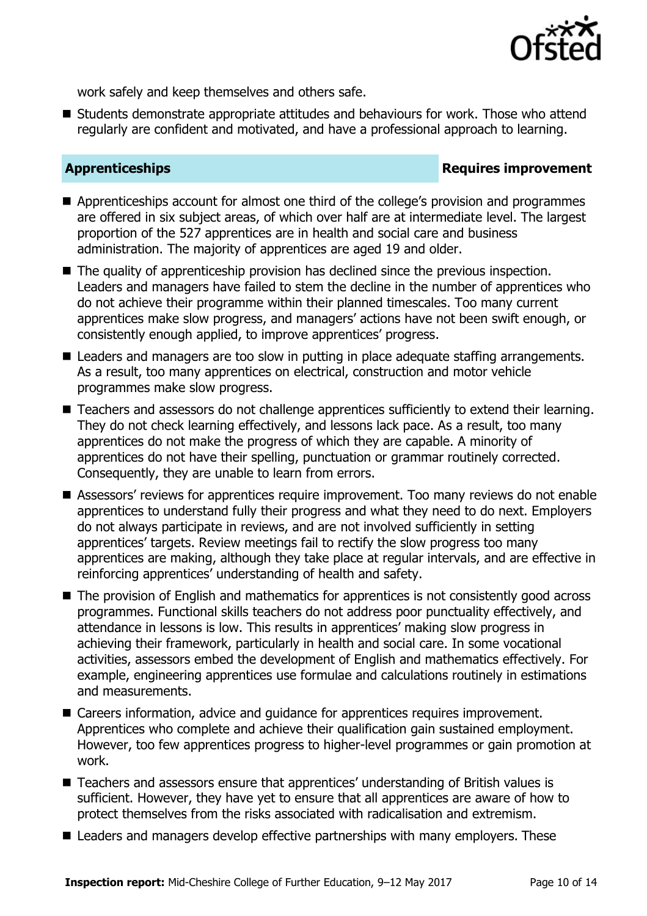

work safely and keep themselves and others safe.

■ Students demonstrate appropriate attitudes and behaviours for work. Those who attend regularly are confident and motivated, and have a professional approach to learning.

### **Apprenticeships Requires improvement**

- Apprenticeships account for almost one third of the college's provision and programmes are offered in six subject areas, of which over half are at intermediate level. The largest proportion of the 527 apprentices are in health and social care and business administration. The majority of apprentices are aged 19 and older.
- The quality of apprenticeship provision has declined since the previous inspection. Leaders and managers have failed to stem the decline in the number of apprentices who do not achieve their programme within their planned timescales. Too many current apprentices make slow progress, and managers' actions have not been swift enough, or consistently enough applied, to improve apprentices' progress.
- Leaders and managers are too slow in putting in place adequate staffing arrangements. As a result, too many apprentices on electrical, construction and motor vehicle programmes make slow progress.
- Teachers and assessors do not challenge apprentices sufficiently to extend their learning. They do not check learning effectively, and lessons lack pace. As a result, too many apprentices do not make the progress of which they are capable. A minority of apprentices do not have their spelling, punctuation or grammar routinely corrected. Consequently, they are unable to learn from errors.
- Assessors' reviews for apprentices require improvement. Too many reviews do not enable apprentices to understand fully their progress and what they need to do next. Employers do not always participate in reviews, and are not involved sufficiently in setting apprentices' targets. Review meetings fail to rectify the slow progress too many apprentices are making, although they take place at regular intervals, and are effective in reinforcing apprentices' understanding of health and safety.
- The provision of English and mathematics for apprentices is not consistently good across programmes. Functional skills teachers do not address poor punctuality effectively, and attendance in lessons is low. This results in apprentices' making slow progress in achieving their framework, particularly in health and social care. In some vocational activities, assessors embed the development of English and mathematics effectively. For example, engineering apprentices use formulae and calculations routinely in estimations and measurements.
- Careers information, advice and quidance for apprentices requires improvement. Apprentices who complete and achieve their qualification gain sustained employment. However, too few apprentices progress to higher-level programmes or gain promotion at work.
- Teachers and assessors ensure that apprentices' understanding of British values is sufficient. However, they have yet to ensure that all apprentices are aware of how to protect themselves from the risks associated with radicalisation and extremism.
- Leaders and managers develop effective partnerships with many employers. These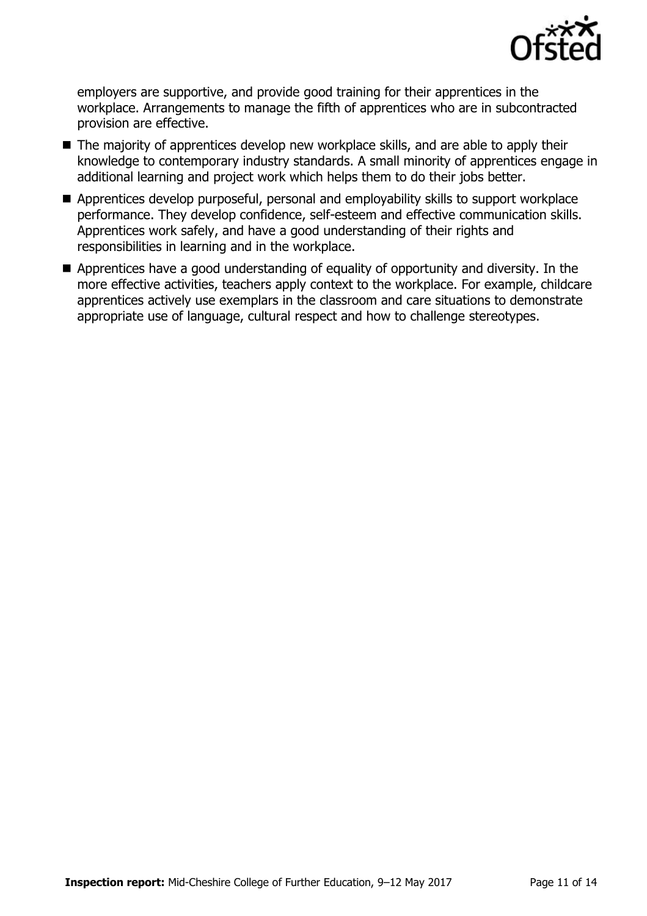

employers are supportive, and provide good training for their apprentices in the workplace. Arrangements to manage the fifth of apprentices who are in subcontracted provision are effective.

- The majority of apprentices develop new workplace skills, and are able to apply their knowledge to contemporary industry standards. A small minority of apprentices engage in additional learning and project work which helps them to do their jobs better.
- Apprentices develop purposeful, personal and employability skills to support workplace performance. They develop confidence, self-esteem and effective communication skills. Apprentices work safely, and have a good understanding of their rights and responsibilities in learning and in the workplace.
- Apprentices have a good understanding of equality of opportunity and diversity. In the more effective activities, teachers apply context to the workplace. For example, childcare apprentices actively use exemplars in the classroom and care situations to demonstrate appropriate use of language, cultural respect and how to challenge stereotypes.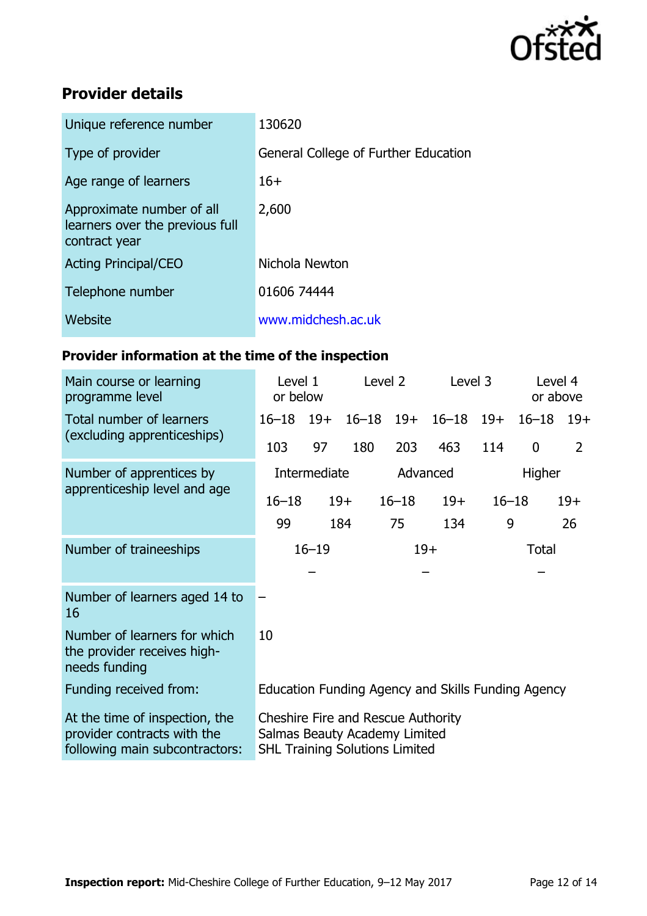

# **Provider details**

| Unique reference number                                                       | 130620                               |
|-------------------------------------------------------------------------------|--------------------------------------|
| Type of provider                                                              | General College of Further Education |
| Age range of learners                                                         | $16+$                                |
| Approximate number of all<br>learners over the previous full<br>contract year | 2,600                                |
| <b>Acting Principal/CEO</b>                                                   | Nichola Newton                       |
| Telephone number                                                              | 01606 74444                          |
| Website                                                                       | www.midchesh.ac.uk                   |
|                                                                               |                                      |

# **Provider information at the time of the inspection**

| Main course or learning<br>programme level                                                      | Level 1<br>or below                                                                                          |       |                    | Level 2   | Level 3   |              | Level 4<br>or above |       |
|-------------------------------------------------------------------------------------------------|--------------------------------------------------------------------------------------------------------------|-------|--------------------|-----------|-----------|--------------|---------------------|-------|
| Total number of learners                                                                        | $16 - 18$                                                                                                    | $19+$ | $16 - 18$          | $19+$     | $16 - 18$ | $19+$        | $16 - 18$           | $19+$ |
| (excluding apprenticeships)                                                                     | 103                                                                                                          | 97    | 180                | 203       | 463       | 114          | $\mathbf 0$         | 2     |
| Number of apprentices by                                                                        | Intermediate                                                                                                 |       | Advanced<br>Higher |           |           |              |                     |       |
| apprenticeship level and age                                                                    | $16 - 18$                                                                                                    |       | $19+$              | $16 - 18$ | $19+$     | $16 - 18$    |                     | $19+$ |
|                                                                                                 | 99                                                                                                           |       | 184                | 75        | 134       | 9            |                     | 26    |
| Number of traineeships                                                                          | $16 - 19$                                                                                                    |       | $19+$              |           |           | <b>Total</b> |                     |       |
|                                                                                                 |                                                                                                              |       |                    |           |           |              |                     |       |
| Number of learners aged 14 to<br>16                                                             |                                                                                                              |       |                    |           |           |              |                     |       |
| Number of learners for which<br>the provider receives high-<br>needs funding                    | 10                                                                                                           |       |                    |           |           |              |                     |       |
| Funding received from:                                                                          | Education Funding Agency and Skills Funding Agency                                                           |       |                    |           |           |              |                     |       |
| At the time of inspection, the<br>provider contracts with the<br>following main subcontractors: | Cheshire Fire and Rescue Authority<br>Salmas Beauty Academy Limited<br><b>SHL Training Solutions Limited</b> |       |                    |           |           |              |                     |       |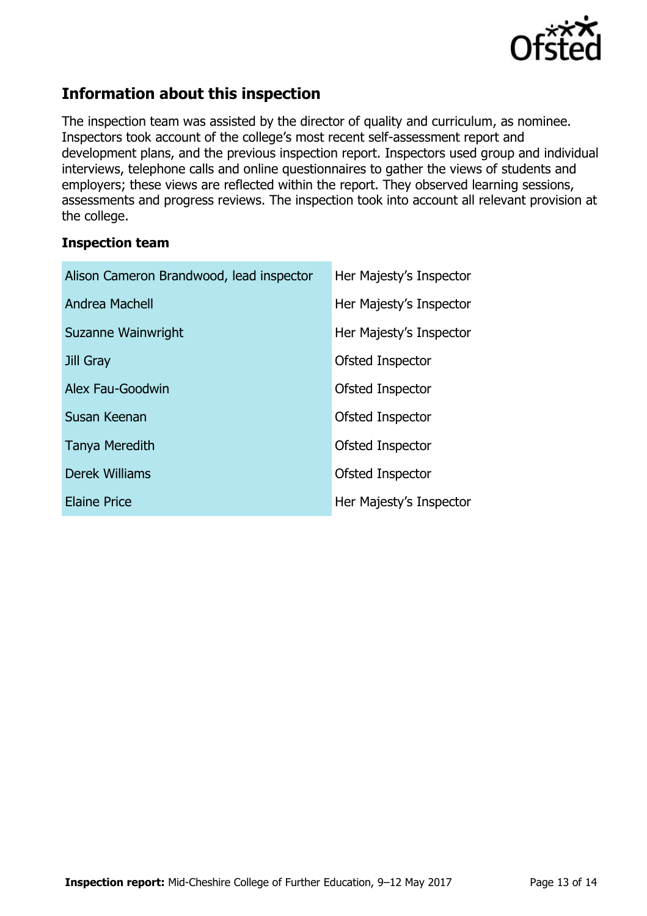

# **Information about this inspection**

The inspection team was assisted by the director of quality and curriculum, as nominee. Inspectors took account of the college's most recent self-assessment report and development plans, and the previous inspection report. Inspectors used group and individual interviews, telephone calls and online questionnaires to gather the views of students and employers; these views are reflected within the report. They observed learning sessions, assessments and progress reviews. The inspection took into account all relevant provision at the college.

### **Inspection team**

| Alison Cameron Brandwood, lead inspector | Her Majesty's Inspector |  |  |  |
|------------------------------------------|-------------------------|--|--|--|
| Andrea Machell                           | Her Majesty's Inspector |  |  |  |
| Suzanne Wainwright                       | Her Majesty's Inspector |  |  |  |
| Jill Gray                                | Ofsted Inspector        |  |  |  |
| Alex Fau-Goodwin                         | Ofsted Inspector        |  |  |  |
| Susan Keenan                             | Ofsted Inspector        |  |  |  |
| <b>Tanya Meredith</b>                    | Ofsted Inspector        |  |  |  |
| Derek Williams                           | Ofsted Inspector        |  |  |  |
| <b>Elaine Price</b>                      | Her Majesty's Inspector |  |  |  |